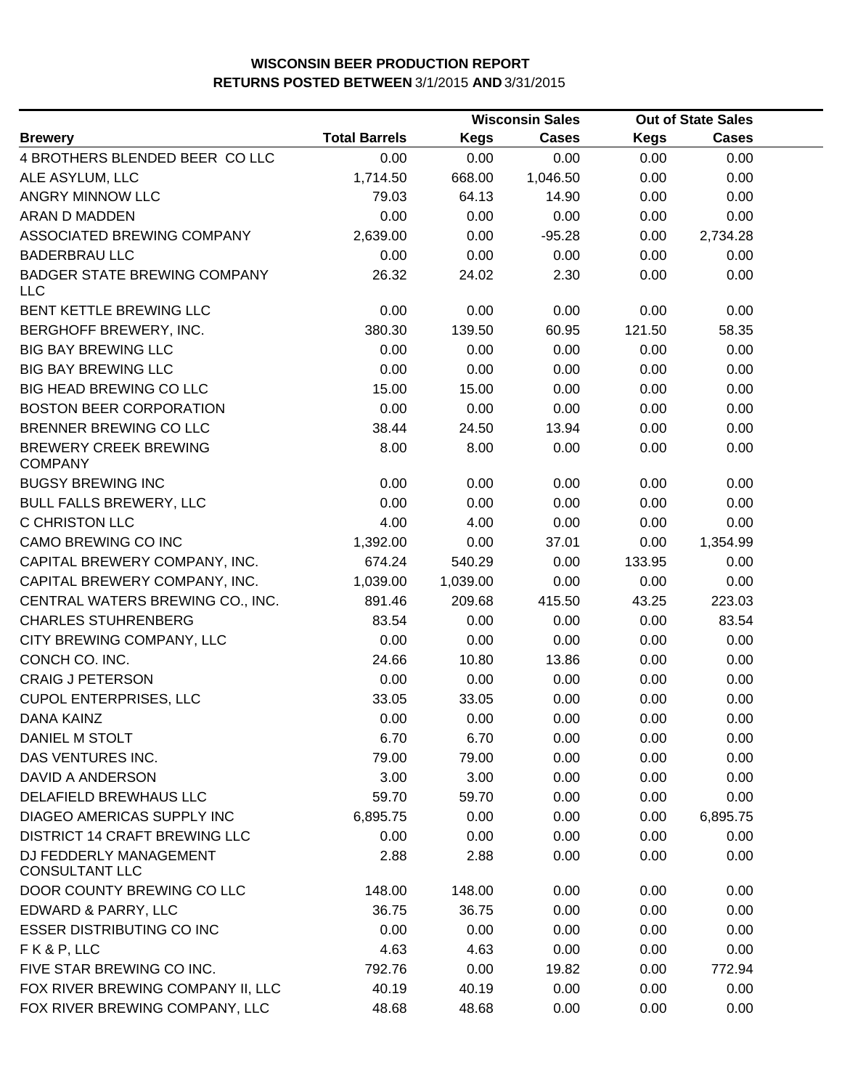|                                                   |                      | <b>Wisconsin Sales</b> |              | <b>Out of State Sales</b> |              |  |
|---------------------------------------------------|----------------------|------------------------|--------------|---------------------------|--------------|--|
| <b>Brewery</b>                                    | <b>Total Barrels</b> | <b>Kegs</b>            | <b>Cases</b> | <b>Kegs</b>               | <b>Cases</b> |  |
| 4 BROTHERS BLENDED BEER CO LLC                    | 0.00                 | 0.00                   | 0.00         | 0.00                      | 0.00         |  |
| ALE ASYLUM, LLC                                   | 1,714.50             | 668.00                 | 1,046.50     | 0.00                      | 0.00         |  |
| ANGRY MINNOW LLC                                  | 79.03                | 64.13                  | 14.90        | 0.00                      | 0.00         |  |
| ARAN D MADDEN                                     | 0.00                 | 0.00                   | 0.00         | 0.00                      | 0.00         |  |
| ASSOCIATED BREWING COMPANY                        | 2,639.00             | 0.00                   | $-95.28$     | 0.00                      | 2,734.28     |  |
| <b>BADERBRAU LLC</b>                              | 0.00                 | 0.00                   | 0.00         | 0.00                      | 0.00         |  |
| <b>BADGER STATE BREWING COMPANY</b><br><b>LLC</b> | 26.32                | 24.02                  | 2.30         | 0.00                      | 0.00         |  |
| BENT KETTLE BREWING LLC                           | 0.00                 | 0.00                   | 0.00         | 0.00                      | 0.00         |  |
| BERGHOFF BREWERY, INC.                            | 380.30               | 139.50                 | 60.95        | 121.50                    | 58.35        |  |
| <b>BIG BAY BREWING LLC</b>                        | 0.00                 | 0.00                   | 0.00         | 0.00                      | 0.00         |  |
| <b>BIG BAY BREWING LLC</b>                        | 0.00                 | 0.00                   | 0.00         | 0.00                      | 0.00         |  |
| <b>BIG HEAD BREWING CO LLC</b>                    | 15.00                | 15.00                  | 0.00         | 0.00                      | 0.00         |  |
| <b>BOSTON BEER CORPORATION</b>                    | 0.00                 | 0.00                   | 0.00         | 0.00                      | 0.00         |  |
| BRENNER BREWING CO LLC                            | 38.44                | 24.50                  | 13.94        | 0.00                      | 0.00         |  |
| <b>BREWERY CREEK BREWING</b><br><b>COMPANY</b>    | 8.00                 | 8.00                   | 0.00         | 0.00                      | 0.00         |  |
| <b>BUGSY BREWING INC</b>                          | 0.00                 | 0.00                   | 0.00         | 0.00                      | 0.00         |  |
| <b>BULL FALLS BREWERY, LLC</b>                    | 0.00                 | 0.00                   | 0.00         | 0.00                      | 0.00         |  |
| C CHRISTON LLC                                    | 4.00                 | 4.00                   | 0.00         | 0.00                      | 0.00         |  |
| CAMO BREWING CO INC                               | 1,392.00             | 0.00                   | 37.01        | 0.00                      | 1,354.99     |  |
| CAPITAL BREWERY COMPANY, INC.                     | 674.24               | 540.29                 | 0.00         | 133.95                    | 0.00         |  |
| CAPITAL BREWERY COMPANY, INC.                     | 1,039.00             | 1,039.00               | 0.00         | 0.00                      | 0.00         |  |
| CENTRAL WATERS BREWING CO., INC.                  | 891.46               | 209.68                 | 415.50       | 43.25                     | 223.03       |  |
| <b>CHARLES STUHRENBERG</b>                        | 83.54                | 0.00                   | 0.00         | 0.00                      | 83.54        |  |
| CITY BREWING COMPANY, LLC                         | 0.00                 | 0.00                   | 0.00         | 0.00                      | 0.00         |  |
| CONCH CO. INC.                                    | 24.66                | 10.80                  | 13.86        | 0.00                      | 0.00         |  |
| <b>CRAIG J PETERSON</b>                           | 0.00                 | 0.00                   | 0.00         | 0.00                      | 0.00         |  |
| <b>CUPOL ENTERPRISES, LLC</b>                     | 33.05                | 33.05                  | 0.00         | 0.00                      | 0.00         |  |
| <b>DANA KAINZ</b>                                 | 0.00                 | 0.00                   | 0.00         | 0.00                      | 0.00         |  |
| DANIEL M STOLT                                    | 6.70                 | 6.70                   | 0.00         | 0.00                      | 0.00         |  |
| DAS VENTURES INC.                                 | 79.00                | 79.00                  | 0.00         | 0.00                      | 0.00         |  |
| DAVID A ANDERSON                                  | 3.00                 | 3.00                   | 0.00         | 0.00                      | 0.00         |  |
| DELAFIELD BREWHAUS LLC                            | 59.70                | 59.70                  | 0.00         | 0.00                      | 0.00         |  |
| DIAGEO AMERICAS SUPPLY INC                        | 6,895.75             | 0.00                   | 0.00         | 0.00                      | 6,895.75     |  |
| DISTRICT 14 CRAFT BREWING LLC                     | 0.00                 | 0.00                   | 0.00         | 0.00                      | 0.00         |  |
| DJ FEDDERLY MANAGEMENT<br><b>CONSULTANT LLC</b>   | 2.88                 | 2.88                   | 0.00         | 0.00                      | 0.00         |  |
| DOOR COUNTY BREWING CO LLC                        | 148.00               | 148.00                 | 0.00         | 0.00                      | 0.00         |  |
| EDWARD & PARRY, LLC                               | 36.75                | 36.75                  | 0.00         | 0.00                      | 0.00         |  |
| <b>ESSER DISTRIBUTING CO INC</b>                  | 0.00                 | 0.00                   | 0.00         | 0.00                      | 0.00         |  |
| FK&P, LLC                                         | 4.63                 | 4.63                   | 0.00         | 0.00                      | 0.00         |  |
| FIVE STAR BREWING CO INC.                         | 792.76               | 0.00                   | 19.82        | 0.00                      | 772.94       |  |
| FOX RIVER BREWING COMPANY II, LLC                 | 40.19                | 40.19                  | 0.00         | 0.00                      | 0.00         |  |
| FOX RIVER BREWING COMPANY, LLC                    | 48.68                | 48.68                  | 0.00         | 0.00                      | 0.00         |  |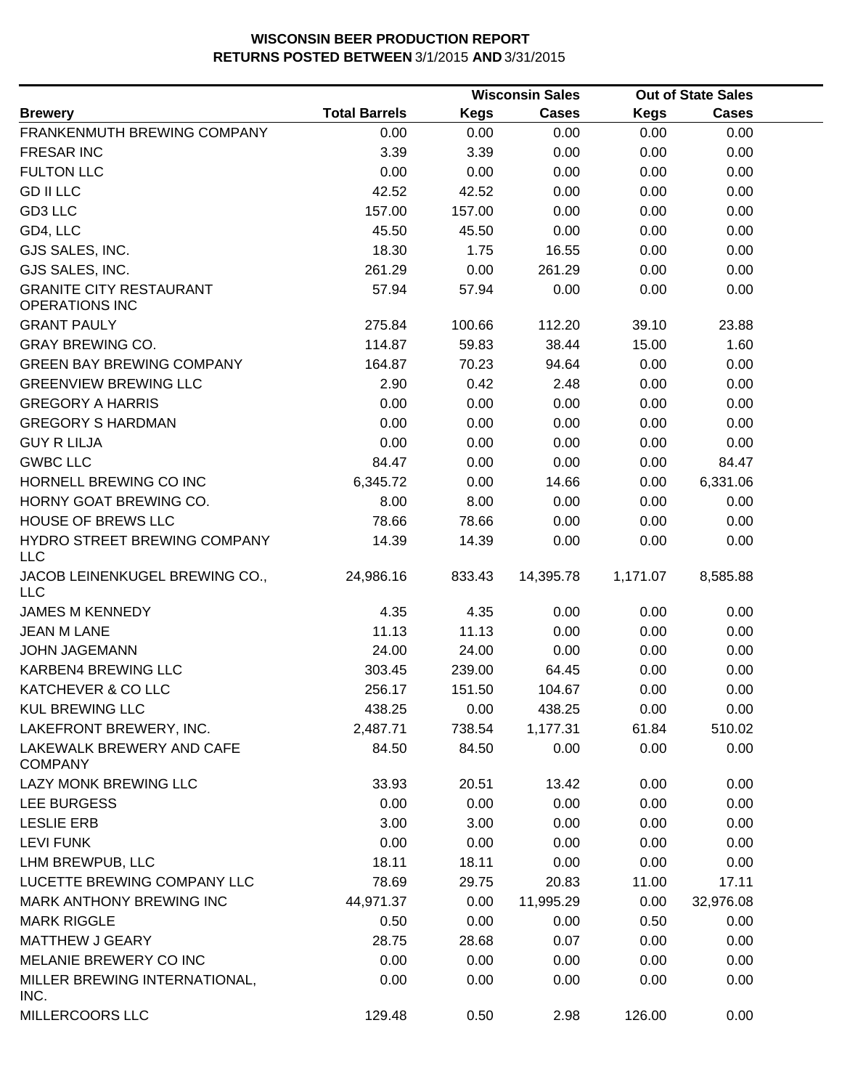|                                                         |                      |             | <b>Wisconsin Sales</b> |             | <b>Out of State Sales</b> |  |
|---------------------------------------------------------|----------------------|-------------|------------------------|-------------|---------------------------|--|
| <b>Brewery</b>                                          | <b>Total Barrels</b> | <b>Kegs</b> | <b>Cases</b>           | <b>Kegs</b> | <b>Cases</b>              |  |
| FRANKENMUTH BREWING COMPANY                             | 0.00                 | 0.00        | 0.00                   | 0.00        | 0.00                      |  |
| <b>FRESAR INC</b>                                       | 3.39                 | 3.39        | 0.00                   | 0.00        | 0.00                      |  |
| <b>FULTON LLC</b>                                       | 0.00                 | 0.00        | 0.00                   | 0.00        | 0.00                      |  |
| <b>GD II LLC</b>                                        | 42.52                | 42.52       | 0.00                   | 0.00        | 0.00                      |  |
| GD3 LLC                                                 | 157.00               | 157.00      | 0.00                   | 0.00        | 0.00                      |  |
| GD4, LLC                                                | 45.50                | 45.50       | 0.00                   | 0.00        | 0.00                      |  |
| GJS SALES, INC.                                         | 18.30                | 1.75        | 16.55                  | 0.00        | 0.00                      |  |
| GJS SALES, INC.                                         | 261.29               | 0.00        | 261.29                 | 0.00        | 0.00                      |  |
| <b>GRANITE CITY RESTAURANT</b><br><b>OPERATIONS INC</b> | 57.94                | 57.94       | 0.00                   | 0.00        | 0.00                      |  |
| <b>GRANT PAULY</b>                                      | 275.84               | 100.66      | 112.20                 | 39.10       | 23.88                     |  |
| <b>GRAY BREWING CO.</b>                                 | 114.87               | 59.83       | 38.44                  | 15.00       | 1.60                      |  |
| <b>GREEN BAY BREWING COMPANY</b>                        | 164.87               | 70.23       | 94.64                  | 0.00        | 0.00                      |  |
| <b>GREENVIEW BREWING LLC</b>                            | 2.90                 | 0.42        | 2.48                   | 0.00        | 0.00                      |  |
| <b>GREGORY A HARRIS</b>                                 | 0.00                 | 0.00        | 0.00                   | 0.00        | 0.00                      |  |
| <b>GREGORY S HARDMAN</b>                                | 0.00                 | 0.00        | 0.00                   | 0.00        | 0.00                      |  |
| <b>GUY R LILJA</b>                                      | 0.00                 | 0.00        | 0.00                   | 0.00        | 0.00                      |  |
| <b>GWBC LLC</b>                                         | 84.47                | 0.00        | 0.00                   | 0.00        | 84.47                     |  |
| HORNELL BREWING CO INC                                  | 6,345.72             | 0.00        | 14.66                  | 0.00        | 6,331.06                  |  |
| HORNY GOAT BREWING CO.                                  | 8.00                 | 8.00        | 0.00                   | 0.00        | 0.00                      |  |
| HOUSE OF BREWS LLC                                      | 78.66                | 78.66       | 0.00                   | 0.00        | 0.00                      |  |
| HYDRO STREET BREWING COMPANY<br><b>LLC</b>              | 14.39                | 14.39       | 0.00                   | 0.00        | 0.00                      |  |
| JACOB LEINENKUGEL BREWING CO.,<br><b>LLC</b>            | 24,986.16            | 833.43      | 14,395.78              | 1,171.07    | 8,585.88                  |  |
| <b>JAMES M KENNEDY</b>                                  | 4.35                 | 4.35        | 0.00                   | 0.00        | 0.00                      |  |
| <b>JEAN M LANE</b>                                      | 11.13                | 11.13       | 0.00                   | 0.00        | 0.00                      |  |
| <b>JOHN JAGEMANN</b>                                    | 24.00                | 24.00       | 0.00                   | 0.00        | 0.00                      |  |
| KARBEN4 BREWING LLC                                     | 303.45               | 239.00      | 64.45                  | 0.00        | 0.00                      |  |
| KATCHEVER & CO LLC                                      | 256.17               | 151.50      | 104.67                 | 0.00        | 0.00                      |  |
| <b>KUL BREWING LLC</b>                                  | 438.25               | 0.00        | 438.25                 | 0.00        | 0.00                      |  |
| LAKEFRONT BREWERY, INC.                                 | 2,487.71             | 738.54      | 1,177.31               | 61.84       | 510.02                    |  |
| LAKEWALK BREWERY AND CAFE<br><b>COMPANY</b>             | 84.50                | 84.50       | 0.00                   | 0.00        | 0.00                      |  |
| LAZY MONK BREWING LLC                                   | 33.93                | 20.51       | 13.42                  | 0.00        | 0.00                      |  |
| LEE BURGESS                                             | 0.00                 | 0.00        | 0.00                   | 0.00        | 0.00                      |  |
| <b>LESLIE ERB</b>                                       | 3.00                 | 3.00        | 0.00                   | 0.00        | 0.00                      |  |
| <b>LEVI FUNK</b>                                        | 0.00                 | 0.00        | 0.00                   | 0.00        | 0.00                      |  |
| LHM BREWPUB, LLC                                        | 18.11                | 18.11       | 0.00                   | 0.00        | 0.00                      |  |
| LUCETTE BREWING COMPANY LLC                             | 78.69                | 29.75       | 20.83                  | 11.00       | 17.11                     |  |
| MARK ANTHONY BREWING INC                                | 44,971.37            | 0.00        | 11,995.29              | 0.00        | 32,976.08                 |  |
| <b>MARK RIGGLE</b>                                      | 0.50                 | 0.00        | 0.00                   | 0.50        | 0.00                      |  |
| <b>MATTHEW J GEARY</b>                                  | 28.75                | 28.68       | 0.07                   | 0.00        | 0.00                      |  |
| MELANIE BREWERY CO INC                                  | 0.00                 | 0.00        | 0.00                   | 0.00        | 0.00                      |  |
| MILLER BREWING INTERNATIONAL,<br>INC.                   | 0.00                 | 0.00        | 0.00                   | 0.00        | 0.00                      |  |
| MILLERCOORS LLC                                         | 129.48               | 0.50        | 2.98                   | 126.00      | 0.00                      |  |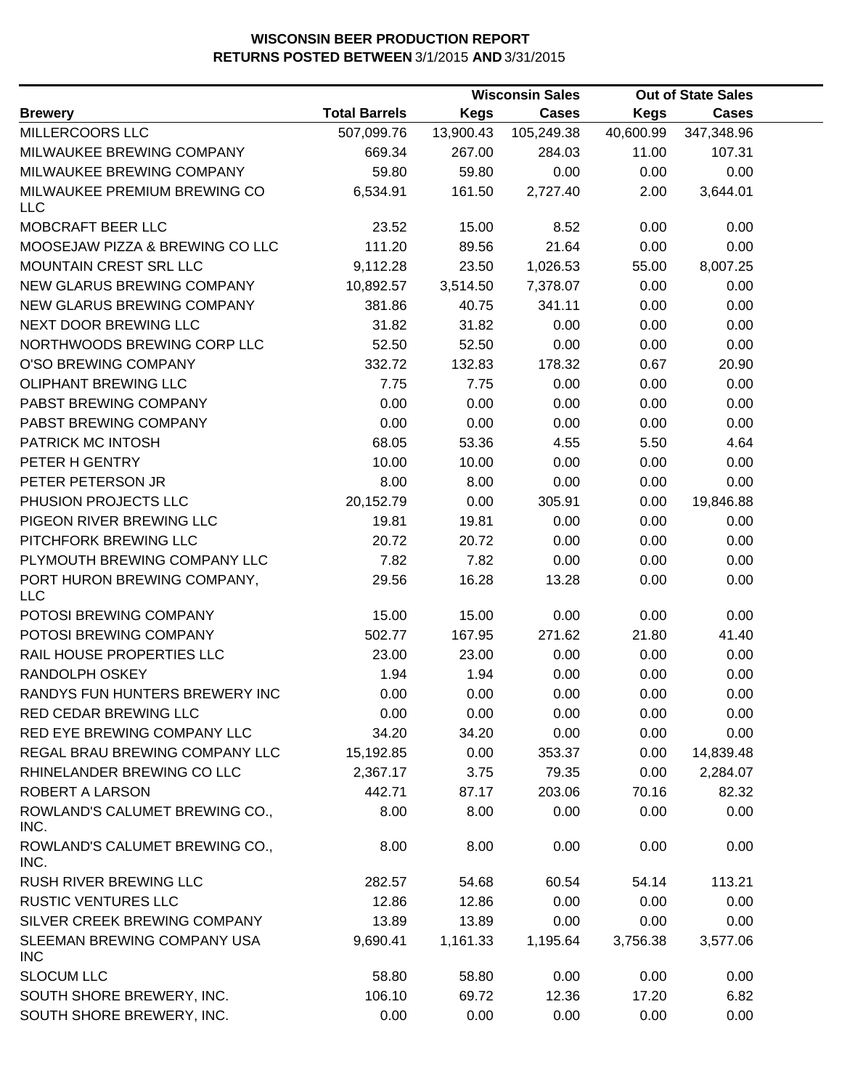|                                            |                      |             | <b>Wisconsin Sales</b> |             | <b>Out of State Sales</b> |  |
|--------------------------------------------|----------------------|-------------|------------------------|-------------|---------------------------|--|
| <b>Brewery</b>                             | <b>Total Barrels</b> | <b>Kegs</b> | <b>Cases</b>           | <b>Kegs</b> | <b>Cases</b>              |  |
| MILLERCOORS LLC                            | 507,099.76           | 13,900.43   | 105,249.38             | 40,600.99   | 347,348.96                |  |
| MILWAUKEE BREWING COMPANY                  | 669.34               | 267.00      | 284.03                 | 11.00       | 107.31                    |  |
| MILWAUKEE BREWING COMPANY                  | 59.80                | 59.80       | 0.00                   | 0.00        | 0.00                      |  |
| MILWAUKEE PREMIUM BREWING CO<br><b>LLC</b> | 6,534.91             | 161.50      | 2,727.40               | 2.00        | 3,644.01                  |  |
| MOBCRAFT BEER LLC                          | 23.52                | 15.00       | 8.52                   | 0.00        | 0.00                      |  |
| MOOSEJAW PIZZA & BREWING CO LLC            | 111.20               | 89.56       | 21.64                  | 0.00        | 0.00                      |  |
| <b>MOUNTAIN CREST SRL LLC</b>              | 9,112.28             | 23.50       | 1,026.53               | 55.00       | 8,007.25                  |  |
| NEW GLARUS BREWING COMPANY                 | 10,892.57            | 3,514.50    | 7,378.07               | 0.00        | 0.00                      |  |
| NEW GLARUS BREWING COMPANY                 | 381.86               | 40.75       | 341.11                 | 0.00        | 0.00                      |  |
| NEXT DOOR BREWING LLC                      | 31.82                | 31.82       | 0.00                   | 0.00        | 0.00                      |  |
| NORTHWOODS BREWING CORP LLC                | 52.50                | 52.50       | 0.00                   | 0.00        | 0.00                      |  |
| O'SO BREWING COMPANY                       | 332.72               | 132.83      | 178.32                 | 0.67        | 20.90                     |  |
| OLIPHANT BREWING LLC                       | 7.75                 | 7.75        | 0.00                   | 0.00        | 0.00                      |  |
| PABST BREWING COMPANY                      | 0.00                 | 0.00        | 0.00                   | 0.00        | 0.00                      |  |
| PABST BREWING COMPANY                      | 0.00                 | 0.00        | 0.00                   | 0.00        | 0.00                      |  |
| PATRICK MC INTOSH                          | 68.05                | 53.36       | 4.55                   | 5.50        | 4.64                      |  |
| PETER H GENTRY                             | 10.00                | 10.00       | 0.00                   | 0.00        | 0.00                      |  |
| PETER PETERSON JR                          | 8.00                 | 8.00        | 0.00                   | 0.00        | 0.00                      |  |
| PHUSION PROJECTS LLC                       | 20,152.79            | 0.00        | 305.91                 | 0.00        | 19,846.88                 |  |
| PIGEON RIVER BREWING LLC                   | 19.81                | 19.81       | 0.00                   | 0.00        | 0.00                      |  |
| PITCHFORK BREWING LLC                      | 20.72                | 20.72       | 0.00                   | 0.00        | 0.00                      |  |
| PLYMOUTH BREWING COMPANY LLC               | 7.82                 | 7.82        | 0.00                   | 0.00        | 0.00                      |  |
| PORT HURON BREWING COMPANY,<br><b>LLC</b>  | 29.56                | 16.28       | 13.28                  | 0.00        | 0.00                      |  |
| POTOSI BREWING COMPANY                     | 15.00                | 15.00       | 0.00                   | 0.00        | 0.00                      |  |
| POTOSI BREWING COMPANY                     | 502.77               | 167.95      | 271.62                 | 21.80       | 41.40                     |  |
| RAIL HOUSE PROPERTIES LLC                  | 23.00                | 23.00       | 0.00                   | 0.00        | 0.00                      |  |
| RANDOLPH OSKEY                             | 1.94                 | 1.94        | 0.00                   | 0.00        | 0.00                      |  |
| RANDYS FUN HUNTERS BREWERY INC             | 0.00                 | 0.00        | 0.00                   | 0.00        | 0.00                      |  |
| RED CEDAR BREWING LLC                      | 0.00                 | 0.00        | 0.00                   | 0.00        | 0.00                      |  |
| RED EYE BREWING COMPANY LLC                | 34.20                | 34.20       | 0.00                   | 0.00        | 0.00                      |  |
| REGAL BRAU BREWING COMPANY LLC             | 15,192.85            | 0.00        | 353.37                 | 0.00        | 14,839.48                 |  |
| RHINELANDER BREWING CO LLC                 | 2,367.17             | 3.75        | 79.35                  | 0.00        | 2,284.07                  |  |
| ROBERT A LARSON                            | 442.71               | 87.17       | 203.06                 | 70.16       | 82.32                     |  |
| ROWLAND'S CALUMET BREWING CO.,<br>INC.     | 8.00                 | 8.00        | 0.00                   | 0.00        | 0.00                      |  |
| ROWLAND'S CALUMET BREWING CO.,<br>INC.     | 8.00                 | 8.00        | 0.00                   | 0.00        | 0.00                      |  |
| <b>RUSH RIVER BREWING LLC</b>              | 282.57               | 54.68       | 60.54                  | 54.14       | 113.21                    |  |
| <b>RUSTIC VENTURES LLC</b>                 | 12.86                | 12.86       | 0.00                   | 0.00        | 0.00                      |  |
| SILVER CREEK BREWING COMPANY               | 13.89                | 13.89       | 0.00                   | 0.00        | 0.00                      |  |
| SLEEMAN BREWING COMPANY USA<br><b>INC</b>  | 9,690.41             | 1,161.33    | 1,195.64               | 3,756.38    | 3,577.06                  |  |
| <b>SLOCUM LLC</b>                          | 58.80                | 58.80       | 0.00                   | 0.00        | 0.00                      |  |
| SOUTH SHORE BREWERY, INC.                  | 106.10               | 69.72       | 12.36                  | 17.20       | 6.82                      |  |
| SOUTH SHORE BREWERY, INC.                  | 0.00                 | 0.00        | 0.00                   | 0.00        | 0.00                      |  |